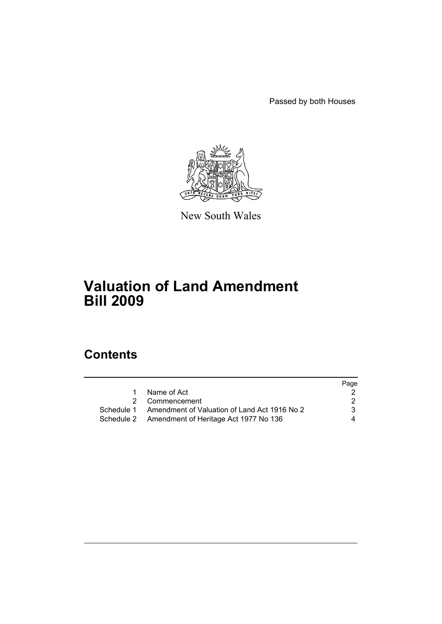Passed by both Houses



New South Wales

# **Valuation of Land Amendment Bill 2009**

# **Contents**

|   |                                                         | Page |
|---|---------------------------------------------------------|------|
| 1 | Name of Act                                             |      |
|   | 2 Commencement                                          | 2    |
|   | Schedule 1 Amendment of Valuation of Land Act 1916 No 2 | 3    |
|   | Schedule 2 Amendment of Heritage Act 1977 No 136        | 4    |
|   |                                                         |      |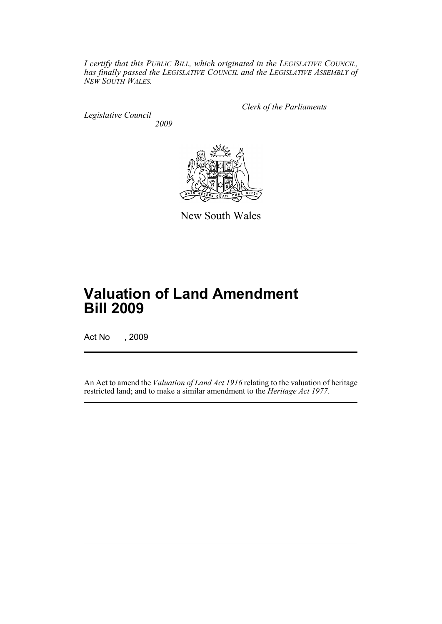*I certify that this PUBLIC BILL, which originated in the LEGISLATIVE COUNCIL, has finally passed the LEGISLATIVE COUNCIL and the LEGISLATIVE ASSEMBLY of NEW SOUTH WALES.*

*Legislative Council 2009* *Clerk of the Parliaments*



New South Wales

# **Valuation of Land Amendment Bill 2009**

Act No , 2009

An Act to amend the *Valuation of Land Act 1916* relating to the valuation of heritage restricted land; and to make a similar amendment to the *Heritage Act 1977*.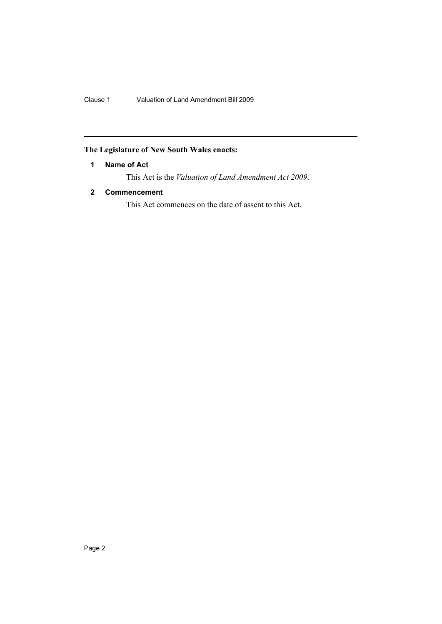## <span id="page-2-0"></span>**The Legislature of New South Wales enacts:**

### **1 Name of Act**

This Act is the *Valuation of Land Amendment Act 2009*.

### <span id="page-2-1"></span>**2 Commencement**

This Act commences on the date of assent to this Act.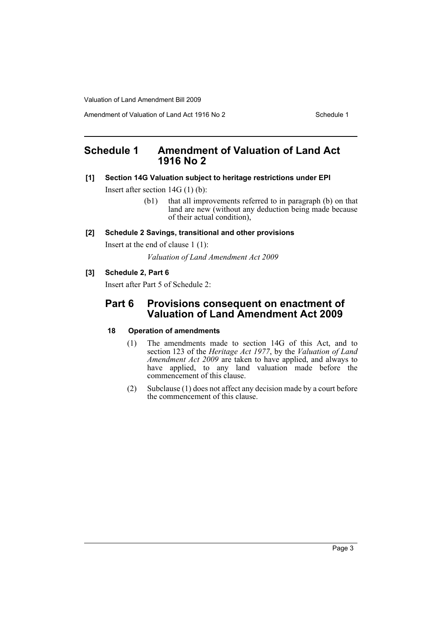Valuation of Land Amendment Bill 2009

Amendment of Valuation of Land Act 1916 No 2 Schedule 1

## <span id="page-3-0"></span>**Schedule 1 Amendment of Valuation of Land Act 1916 No 2**

#### **[1] Section 14G Valuation subject to heritage restrictions under EPI**

Insert after section 14G (1) (b):

(b1) that all improvements referred to in paragraph (b) on that land are new (without any deduction being made because of their actual condition),

#### **[2] Schedule 2 Savings, transitional and other provisions**

Insert at the end of clause 1 (1):

*Valuation of Land Amendment Act 2009*

## **[3] Schedule 2, Part 6**

Insert after Part 5 of Schedule 2:

## **Part 6 Provisions consequent on enactment of Valuation of Land Amendment Act 2009**

#### **18 Operation of amendments**

- (1) The amendments made to section 14G of this Act, and to section 123 of the *Heritage Act 1977*, by the *Valuation of Land Amendment Act 2009* are taken to have applied, and always to have applied, to any land valuation made before the commencement of this clause.
- (2) Subclause (1) does not affect any decision made by a court before the commencement of this clause.